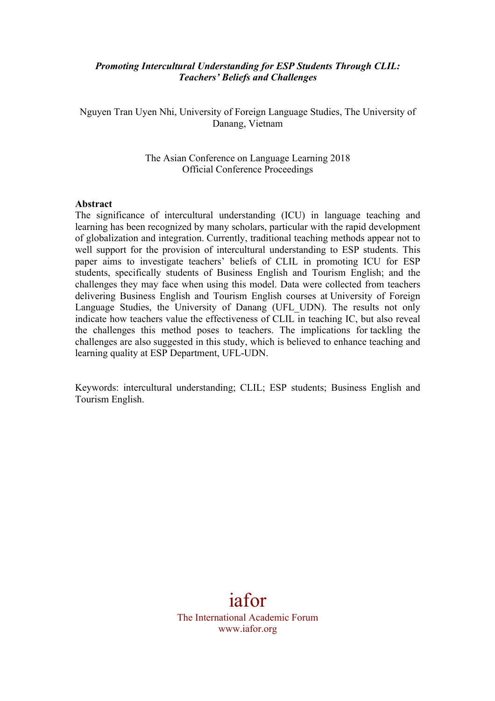#### *Promoting Intercultural Understanding for ESP Students Through CLIL: Teachers' Beliefs and Challenges*

Nguyen Tran Uyen Nhi, University of Foreign Language Studies, The University of Danang, Vietnam

> The Asian Conference on Language Learning 2018 Official Conference Proceedings

#### **Abstract**

The significance of intercultural understanding (ICU) in language teaching and learning has been recognized by many scholars, particular with the rapid development of globalization and integration. Currently, traditional teaching methods appear not to well support for the provision of intercultural understanding to ESP students. This paper aims to investigate teachers' beliefs of CLIL in promoting ICU for ESP students, specifically students of Business English and Tourism English; and the challenges they may face when using this model. Data were collected from teachers delivering Business English and Tourism English courses at University of Foreign Language Studies, the University of Danang (UFL\_UDN). The results not only indicate how teachers value the effectiveness of CLIL in teaching IC, but also reveal the challenges this method poses to teachers. The implications for tackling the challenges are also suggested in this study, which is believed to enhance teaching and learning quality at ESP Department, UFL-UDN.

Keywords: intercultural understanding; CLIL; ESP students; Business English and Tourism English.

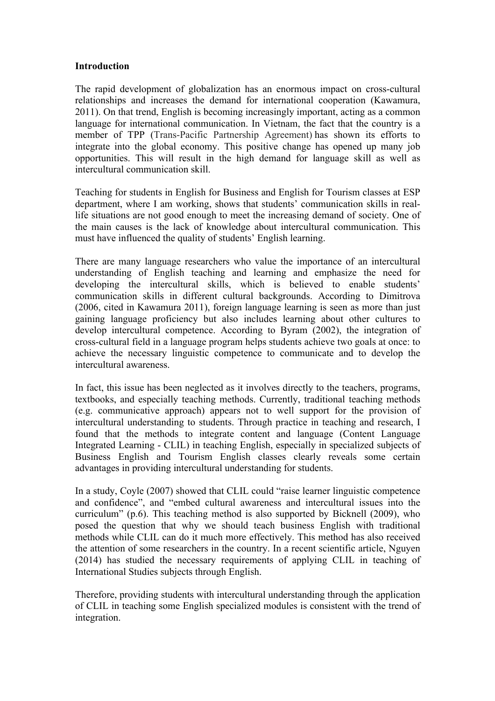#### **Introduction**

The rapid development of globalization has an enormous impact on cross-cultural relationships and increases the demand for international cooperation (Kawamura, 2011). On that trend, English is becoming increasingly important, acting as a common language for international communication. In Vietnam, the fact that the country is a member of TPP (Trans-Pacific Partnership Agreement) has shown its efforts to integrate into the global economy. This positive change has opened up many job opportunities. This will result in the high demand for language skill as well as intercultural communication skill.

Teaching for students in English for Business and English for Tourism classes at ESP department, where I am working, shows that students' communication skills in reallife situations are not good enough to meet the increasing demand of society. One of the main causes is the lack of knowledge about intercultural communication. This must have influenced the quality of students' English learning.

There are many language researchers who value the importance of an intercultural understanding of English teaching and learning and emphasize the need for developing the intercultural skills, which is believed to enable students' communication skills in different cultural backgrounds. According to Dimitrova (2006, cited in Kawamura 2011), foreign language learning is seen as more than just gaining language proficiency but also includes learning about other cultures to develop intercultural competence. According to Byram (2002), the integration of cross-cultural field in a language program helps students achieve two goals at once: to achieve the necessary linguistic competence to communicate and to develop the intercultural awareness.

In fact, this issue has been neglected as it involves directly to the teachers, programs, textbooks, and especially teaching methods. Currently, traditional teaching methods (e.g. communicative approach) appears not to well support for the provision of intercultural understanding to students. Through practice in teaching and research, I found that the methods to integrate content and language (Content Language Integrated Learning - CLIL) in teaching English, especially in specialized subjects of Business English and Tourism English classes clearly reveals some certain advantages in providing intercultural understanding for students.

In a study, Coyle (2007) showed that CLIL could "raise learner linguistic competence and confidence", and "embed cultural awareness and intercultural issues into the curriculum" (p.6). This teaching method is also supported by Bicknell (2009), who posed the question that why we should teach business English with traditional methods while CLIL can do it much more effectively. This method has also received the attention of some researchers in the country. In a recent scientific article, Nguyen (2014) has studied the necessary requirements of applying CLIL in teaching of International Studies subjects through English.

Therefore, providing students with intercultural understanding through the application of CLIL in teaching some English specialized modules is consistent with the trend of integration.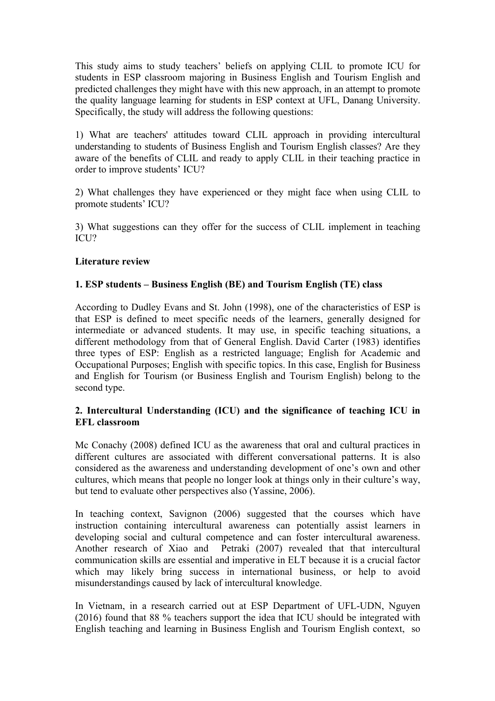This study aims to study teachers' beliefs on applying CLIL to promote ICU for students in ESP classroom majoring in Business English and Tourism English and predicted challenges they might have with this new approach, in an attempt to promote the quality language learning for students in ESP context at UFL, Danang University. Specifically, the study will address the following questions:

1) What are teachers' attitudes toward CLIL approach in providing intercultural understanding to students of Business English and Tourism English classes? Are they aware of the benefits of CLIL and ready to apply CLIL in their teaching practice in order to improve students' ICU?

2) What challenges they have experienced or they might face when using CLIL to promote students' ICU?

3) What suggestions can they offer for the success of CLIL implement in teaching ICU?

#### **Literature review**

#### **1. ESP students – Business English (BE) and Tourism English (TE) class**

According to Dudley Evans and St. John (1998), one of the characteristics of ESP is that ESP is defined to meet specific needs of the learners, generally designed for intermediate or advanced students. It may use, in specific teaching situations, a different methodology from that of General English. David Carter (1983) identifies three types of ESP: English as a restricted language; English for Academic and Occupational Purposes; English with specific topics. In this case, English for Business and English for Tourism (or Business English and Tourism English) belong to the second type.

#### **2. Intercultural Understanding (ICU) and the significance of teaching ICU in EFL classroom**

Mc Conachy (2008) defined ICU as the awareness that oral and cultural practices in different cultures are associated with different conversational patterns. It is also considered as the awareness and understanding development of one's own and other cultures, which means that people no longer look at things only in their culture's way, but tend to evaluate other perspectives also (Yassine, 2006).

In teaching context, Savignon (2006) suggested that the courses which have instruction containing intercultural awareness can potentially assist learners in developing social and cultural competence and can foster intercultural awareness. Another research of Xiao and Petraki (2007) revealed that that intercultural communication skills are essential and imperative in ELT because it is a crucial factor which may likely bring success in international business, or help to avoid misunderstandings caused by lack of intercultural knowledge.

In Vietnam, in a research carried out at ESP Department of UFL-UDN, Nguyen (2016) found that 88 % teachers support the idea that ICU should be integrated with English teaching and learning in Business English and Tourism English context, so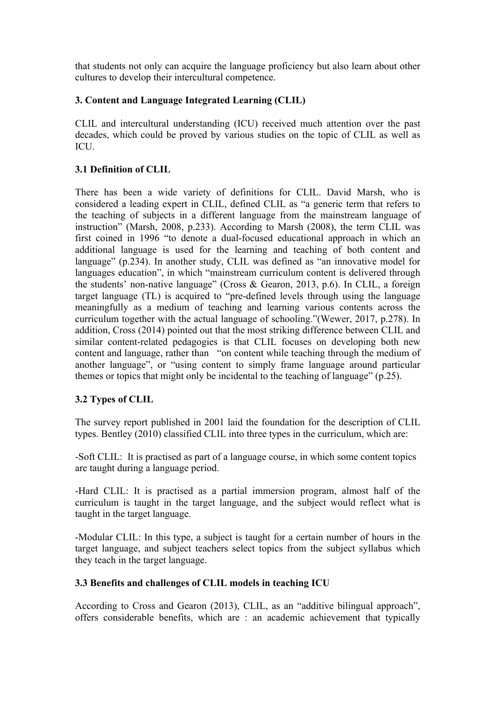that students not only can acquire the language proficiency but also learn about other cultures to develop their intercultural competence.

# **3. Content and Language Integrated Learning (CLIL)**

CLIL and intercultural understanding (ICU) received much attention over the past decades, which could be proved by various studies on the topic of CLIL as well as ICU.

## **3.1 Definition of CLIL**

There has been a wide variety of definitions for CLIL. David Marsh, who is considered a leading expert in CLIL, defined CLIL as "a generic term that refers to the teaching of subjects in a different language from the mainstream language of instruction" (Marsh, 2008, p.233). According to Marsh (2008), the term CLIL was first coined in 1996 "to denote a dual-focused educational approach in which an additional language is used for the learning and teaching of both content and language" (p.234). In another study, CLIL was defined as "an innovative model for languages education", in which "mainstream curriculum content is delivered through the students' non-native language" (Cross & Gearon, 2013, p.6). In CLIL, a foreign target language (TL) is acquired to "pre-defined levels through using the language meaningfully as a medium of teaching and learning various contents across the curriculum together with the actual language of schooling."(Wewer, 2017, p.278). In addition, Cross (2014) pointed out that the most striking difference between CLIL and similar content-related pedagogies is that CLIL focuses on developing both new content and language, rather than "on content while teaching through the medium of another language", or "using content to simply frame language around particular themes or topics that might only be incidental to the teaching of language" (p.25).

## **3.2 Types of CLIL**

The survey report published in 2001 laid the foundation for the description of CLIL types. Bentley (2010) classified CLIL into three types in the curriculum, which are:

-Soft CLIL: It is practised as part of a language course, in which some content topics are taught during a language period.

-Hard CLIL: It is practised as a partial immersion program, almost half of the curriculum is taught in the target language, and the subject would reflect what is taught in the target language.

-Modular CLIL: In this type, a subject is taught for a certain number of hours in the target language, and subject teachers select topics from the subject syllabus which they teach in the target language.

## **3.3 Benefits and challenges of CLIL models in teaching ICU**

According to Cross and Gearon (2013), CLIL, as an "additive bilingual approach", offers considerable benefits, which are : an academic achievement that typically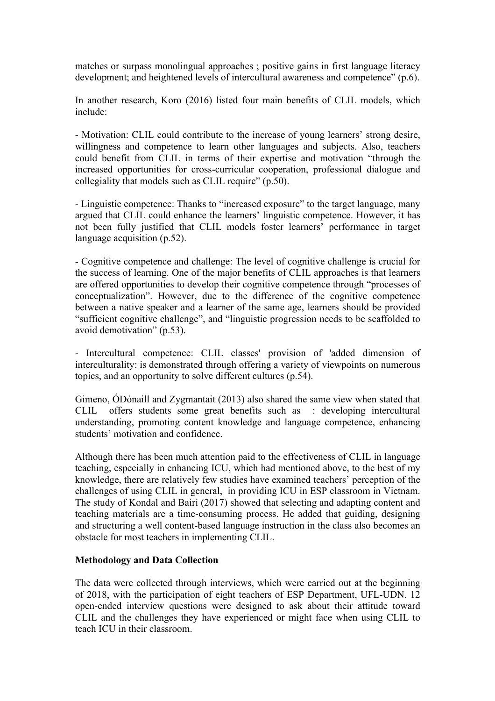matches or surpass monolingual approaches ; positive gains in first language literacy development; and heightened levels of intercultural awareness and competence" (p.6).

In another research, Koro (2016) listed four main benefits of CLIL models, which include:

- Motivation: CLIL could contribute to the increase of young learners' strong desire, willingness and competence to learn other languages and subjects. Also, teachers could benefit from CLIL in terms of their expertise and motivation "through the increased opportunities for cross-curricular cooperation, professional dialogue and collegiality that models such as CLIL require" (p.50).

- Linguistic competence: Thanks to "increased exposure" to the target language, many argued that CLIL could enhance the learners' linguistic competence. However, it has not been fully justified that CLIL models foster learners' performance in target language acquisition (p.52).

- Cognitive competence and challenge: The level of cognitive challenge is crucial for the success of learning. One of the major benefits of CLIL approaches is that learners are offered opportunities to develop their cognitive competence through "processes of conceptualization". However, due to the difference of the cognitive competence between a native speaker and a learner of the same age, learners should be provided "sufficient cognitive challenge", and "linguistic progression needs to be scaffolded to avoid demotivation" (p.53).

- Intercultural competence: CLIL classes' provision of 'added dimension of interculturality: is demonstrated through offering a variety of viewpoints on numerous topics, and an opportunity to solve different cultures (p.54).

Gimeno, ÓDónaill and Zygmantait (2013) also shared the same view when stated that CLIL offers students some great benefits such as : developing intercultural understanding, promoting content knowledge and language competence, enhancing students' motivation and confidence.

Although there has been much attention paid to the effectiveness of CLIL in language teaching, especially in enhancing ICU, which had mentioned above, to the best of my knowledge, there are relatively few studies have examined teachers' perception of the challenges of using CLIL in general, in providing ICU in ESP classroom in Vietnam. The study of Kondal and Bairi (2017) showed that selecting and adapting content and teaching materials are a time-consuming process. He added that guiding, designing and structuring a well content-based language instruction in the class also becomes an obstacle for most teachers in implementing CLIL.

#### **Methodology and Data Collection**

The data were collected through interviews, which were carried out at the beginning of 2018, with the participation of eight teachers of ESP Department, UFL-UDN. 12 open-ended interview questions were designed to ask about their attitude toward CLIL and the challenges they have experienced or might face when using CLIL to teach ICU in their classroom.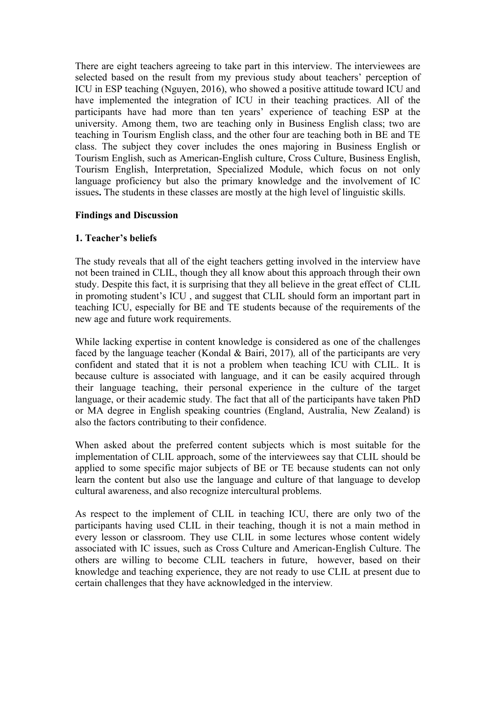There are eight teachers agreeing to take part in this interview. The interviewees are selected based on the result from my previous study about teachers' perception of ICU in ESP teaching (Nguyen, 2016), who showed a positive attitude toward ICU and have implemented the integration of ICU in their teaching practices. All of the participants have had more than ten years' experience of teaching ESP at the university. Among them, two are teaching only in Business English class; two are teaching in Tourism English class, and the other four are teaching both in BE and TE class. The subject they cover includes the ones majoring in Business English or Tourism English, such as American-English culture, Cross Culture, Business English, Tourism English, Interpretation, Specialized Module, which focus on not only language proficiency but also the primary knowledge and the involvement of IC issues**.** The students in these classes are mostly at the high level of linguistic skills.

#### **Findings and Discussion**

## **1. Teacher's beliefs**

The study reveals that all of the eight teachers getting involved in the interview have not been trained in CLIL, though they all know about this approach through their own study. Despite this fact, it is surprising that they all believe in the great effect of CLIL in promoting student's ICU , and suggest that CLIL should form an important part in teaching ICU, especially for BE and TE students because of the requirements of the new age and future work requirements.

While lacking expertise in content knowledge is considered as one of the challenges faced by the language teacher (Kondal & Bairi, 2017)*,* all of the participants are very confident and stated that it is not a problem when teaching ICU with CLIL. It is because culture is associated with language, and it can be easily acquired through their language teaching, their personal experience in the culture of the target language, or their academic study*.* The fact that all of the participants have taken PhD or MA degree in English speaking countries (England, Australia, New Zealand) is also the factors contributing to their confidence.

When asked about the preferred content subjects which is most suitable for the implementation of CLIL approach, some of the interviewees say that CLIL should be applied to some specific major subjects of BE or TE because students can not only learn the content but also use the language and culture of that language to develop cultural awareness, and also recognize intercultural problems.

As respect to the implement of CLIL in teaching ICU, there are only two of the participants having used CLIL in their teaching, though it is not a main method in every lesson or classroom. They use CLIL in some lectures whose content widely associated with IC issues, such as Cross Culture and American-English Culture. The others are willing to become CLIL teachers in future, however, based on their knowledge and teaching experience, they are not ready to use CLIL at present due to certain challenges that they have acknowledged in the interview*.*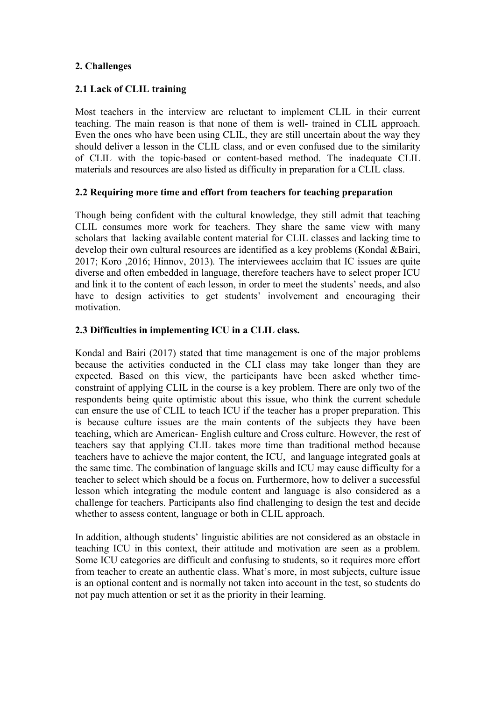## **2. Challenges**

#### **2.1 Lack of CLIL training**

Most teachers in the interview are reluctant to implement CLIL in their current teaching. The main reason is that none of them is well- trained in CLIL approach. Even the ones who have been using CLIL, they are still uncertain about the way they should deliver a lesson in the CLIL class, and or even confused due to the similarity of CLIL with the topic-based or content-based method. The inadequate CLIL materials and resources are also listed as difficulty in preparation for a CLIL class.

#### **2.2 Requiring more time and effort from teachers for teaching preparation**

Though being confident with the cultural knowledge, they still admit that teaching CLIL consumes more work for teachers. They share the same view with many scholars that lacking available content material for CLIL classes and lacking time to develop their own cultural resources are identified as a key problems (Kondal &Bairi, 2017; Koro ,2016; Hinnov, 2013)*.* The interviewees acclaim that IC issues are quite diverse and often embedded in language, therefore teachers have to select proper ICU and link it to the content of each lesson, in order to meet the students' needs, and also have to design activities to get students' involvement and encouraging their motivation.

#### **2.3 Difficulties in implementing ICU in a CLIL class.**

Kondal and Bairi (2017) stated that time management is one of the major problems because the activities conducted in the CLI class may take longer than they are expected. Based on this view, the participants have been asked whether timeconstraint of applying CLIL in the course is a key problem. There are only two of the respondents being quite optimistic about this issue, who think the current schedule can ensure the use of CLIL to teach ICU if the teacher has a proper preparation. This is because culture issues are the main contents of the subjects they have been teaching, which are American- English culture and Cross culture. However, the rest of teachers say that applying CLIL takes more time than traditional method because teachers have to achieve the major content, the ICU, and language integrated goals at the same time. The combination of language skills and ICU may cause difficulty for a teacher to select which should be a focus on. Furthermore, how to deliver a successful lesson which integrating the module content and language is also considered as a challenge for teachers. Participants also find challenging to design the test and decide whether to assess content, language or both in CLIL approach.

In addition, although students' linguistic abilities are not considered as an obstacle in teaching ICU in this context, their attitude and motivation are seen as a problem. Some ICU categories are difficult and confusing to students, so it requires more effort from teacher to create an authentic class. What's more, in most subjects, culture issue is an optional content and is normally not taken into account in the test, so students do not pay much attention or set it as the priority in their learning.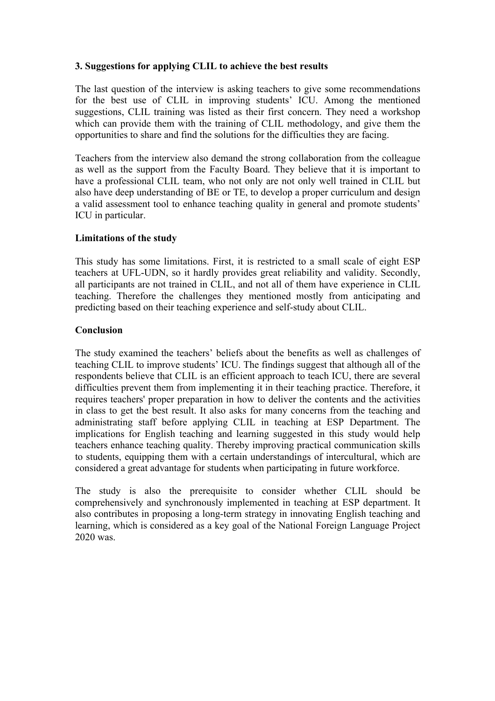## **3. Suggestions for applying CLIL to achieve the best results**

The last question of the interview is asking teachers to give some recommendations for the best use of CLIL in improving students' ICU. Among the mentioned suggestions, CLIL training was listed as their first concern. They need a workshop which can provide them with the training of CLIL methodology, and give them the opportunities to share and find the solutions for the difficulties they are facing.

Teachers from the interview also demand the strong collaboration from the colleague as well as the support from the Faculty Board. They believe that it is important to have a professional CLIL team, who not only are not only well trained in CLIL but also have deep understanding of BE or TE, to develop a proper curriculum and design a valid assessment tool to enhance teaching quality in general and promote students' ICU in particular.

#### **Limitations of the study**

This study has some limitations. First, it is restricted to a small scale of eight ESP teachers at UFL-UDN, so it hardly provides great reliability and validity. Secondly, all participants are not trained in CLIL, and not all of them have experience in CLIL teaching. Therefore the challenges they mentioned mostly from anticipating and predicting based on their teaching experience and self-study about CLIL.

#### **Conclusion**

The study examined the teachers' beliefs about the benefits as well as challenges of teaching CLIL to improve students' ICU. The findings suggest that although all of the respondents believe that CLIL is an efficient approach to teach ICU, there are several difficulties prevent them from implementing it in their teaching practice. Therefore, it requires teachers' proper preparation in how to deliver the contents and the activities in class to get the best result. It also asks for many concerns from the teaching and administrating staff before applying CLIL in teaching at ESP Department. The implications for English teaching and learning suggested in this study would help teachers enhance teaching quality. Thereby improving practical communication skills to students, equipping them with a certain understandings of intercultural, which are considered a great advantage for students when participating in future workforce.

The study is also the prerequisite to consider whether CLIL should be comprehensively and synchronously implemented in teaching at ESP department. It also contributes in proposing a long-term strategy in innovating English teaching and learning, which is considered as a key goal of the National Foreign Language Project 2020 was.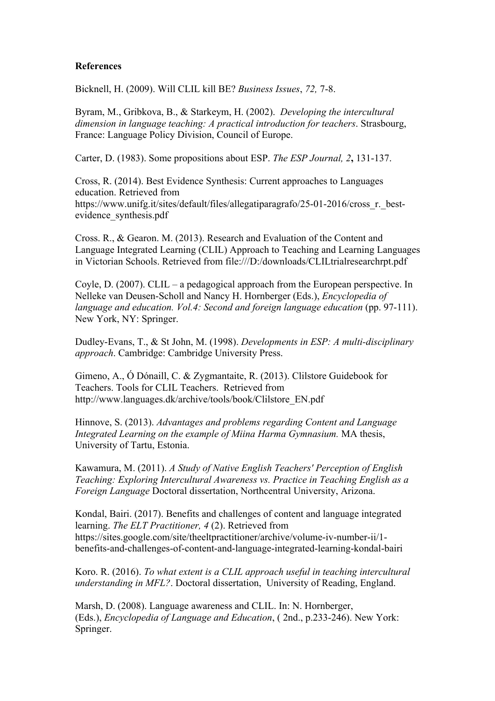#### **References**

Bicknell, H. (2009). Will CLIL kill BE? *Business Issues*, *72,* 7-8.

Byram, M., Gribkova, B., & Starkeym, H. (2002). *Developing the intercultural dimension in language teaching: A practical introduction for teachers*. Strasbourg, France: Language Policy Division, Council of Europe.

Carter, D. (1983). Some propositions about ESP. *The ESP Journal, 2***,** 131-137.

Cross, R. (2014). Best Evidence Synthesis: Current approaches to Languages education. Retrieved from https://www.unifg.it/sites/default/files/allegatiparagrafo/25-01-2016/cross\_r.\_bestevidence\_synthesis.pdf

Cross. R., & Gearon. M. (2013). Research and Evaluation of the Content and Language Integrated Learning (CLIL) Approach to Teaching and Learning Languages in Victorian Schools. Retrieved from file:///D:/downloads/CLILtrialresearchrpt.pdf

Coyle, D. (2007). CLIL – a pedagogical approach from the European perspective. In Nelleke van Deusen-Scholl and Nancy H. Hornberger (Eds.), *Encyclopedia of language and education. Vol.4: Second and foreign language education (pp. 97-111).* New York, NY: Springer.

Dudley-Evans, T., & St John, M. (1998). *Developments in ESP: A multi-disciplinary approach*. Cambridge: Cambridge University Press.

Gimeno, A., Ó Dónaill, C. & Zygmantaite, R. (2013). Clilstore Guidebook for Teachers. Tools for CLIL Teachers. Retrieved from http://www.languages.dk/archive/tools/book/Clilstore\_EN.pdf

Hinnove, S. (2013). *Advantages and problems regarding Content and Language Integrated Learning on the example of Miina Harma Gymnasium.* MA thesis, University of Tartu, Estonia.

Kawamura, M. (2011). *A Study of Native English Teachers' Perception of English Teaching: Exploring Intercultural Awareness vs. Practice in Teaching English as a Foreign Language* Doctoral dissertation, Northcentral University, Arizona.

Kondal, Bairi. (2017). Benefits and challenges of content and language integrated learning. *The ELT Practitioner, 4* (2). Retrieved from https://sites.google.com/site/theeltpractitioner/archive/volume-iv-number-ii/1 benefits-and-challenges-of-content-and-language-integrated-learning-kondal-bairi

Koro. R. (2016). *To what extent is a CLIL approach useful in teaching intercultural understanding in MFL?*. Doctoral dissertation, University of Reading, England.

Marsh, D. (2008). Language awareness and CLIL. In: N. Hornberger, (Eds.), *Encyclopedia of Language and Education*, ( 2nd., p.233-246). New York: Springer.